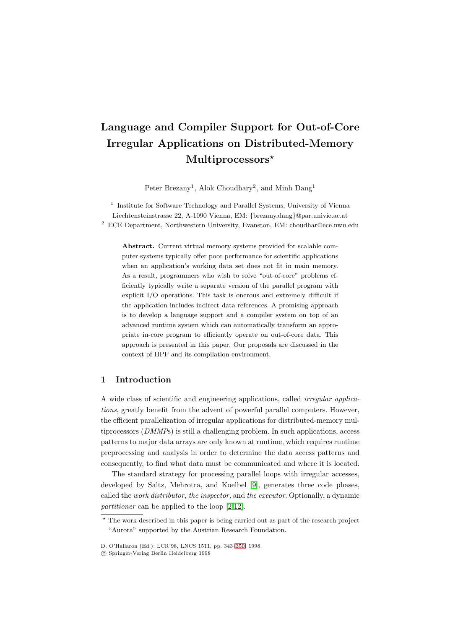# **Language and Compiler Support for Out-of-Core Irregular Applications on Distributed-Memory Multiprocessors***?*

Peter Brezany<sup>1</sup>, Alok Choudhary<sup>2</sup>, and Minh Dang<sup>1</sup>

<sup>1</sup> Institute for Software Technology and Parallel Systems, University of Vienna

Liechtensteinstrasse 22, A-1090 Vienna, EM: {brezany,dang}@par.univie.ac.at  $^2\,$  ECE Department, Northwestern University, Evanston, EM: choudhar@ece.nwu.edu

**Abstract.** Current virtual memory systems provided for scalable computer systems typically offer poor performance for scientific applications when an application's working data set does not fit in main memory. As a result, programmers who wish to solve "out-of-core" problems efficiently typically write a separate version of the parallel program with explicit I/O operations. This task is onerous and extremely difficult if the application includes indirect data references. A promising approach is to develop a language support and a compiler system on top of an advanced runtime system which can automatically transform an appropriate in-core program to efficiently operate on out-of-core data. This approach is presented in this paper. Our proposals are discussed in the context of HPF and its compilation environment.

# **1 Introduction**

A wide class of scientific and engineering applications, called irregular applications, greatly benefit from the advent of powerful parallel computers. However, the efficient parallelization of irregular applications for distributed-memory multiprocessors (DMMPs) is still a challenging problem. In such applications, access patterns to major data arrays are only known at runtime, which requires runtime preprocessing and analysis in order to determine the data access patterns and consequently, to find what data must be communicated and where it is located.

The standard strategy for processing parallel loops with irregular accesses, developed by Saltz, Mehrotra, and Koelbel [\[9\]](#page-7-0), generates three code phases, called the work distributor, the inspector, and the executor. Optionally, a dynamic partitioner can be applied to the loop [\[2,12\]](#page-7-0).

<sup>?</sup> The work described in this paper is being carried out as part of the research project "Aurora" supported by the Austrian Research Foundation.

D. O'Hallaron (Ed.): LCR'98, LNCS 1511, pp. 343[–350,](#page-7-0) 1998.

c Springer-Verlag Berlin Heidelberg 1998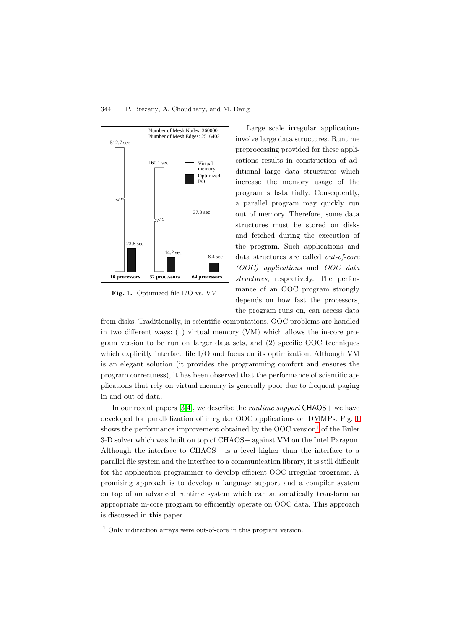

**Fig. 1.** Optimized file I/O vs. VM

Large scale irregular applications involve large data structures. Runtime preprocessing provided for these applications results in construction of additional large data structures which increase the memory usage of the program substantially. Consequently, a parallel program may quickly run out of memory. Therefore, some data structures must be stored on disks and fetched during the execution of the program. Such applications and data structures are called out-of-core (OOC) applications and OOC data structures, respectively. The performance of an OOC program strongly depends on how fast the processors, the program runs on, can access data

from disks. Traditionally, in scientific computations, OOC problems are handled in two different ways: (1) virtual memory (VM) which allows the in-core program version to be run on larger data sets, and (2) specific OOC techniques which explicitly interface file I/O and focus on its optimization. Although VM is an elegant solution (it provides the programming comfort and ensures the program correctness), it has been observed that the performance of scientific applications that rely on virtual memory is generally poor due to frequent paging in and out of data.

In our recent papers  $[3,4]$ , we describe the *runtime support* CHAOS+ we have developed for parallelization of irregular OOC applications on DMMPs. Fig. 1 shows the performance improvement obtained by the  $OOC$  version<sup>1</sup> of the Euler 3-D solver which was built on top of CHAOS+ against VM on the Intel Paragon. Although the interface to CHAOS+ is a level higher than the interface to a parallel file system and the interface to a communication library, it is still difficult for the application programmer to develop efficient OOC irregular programs. A promising approach is to develop a language support and a compiler system on top of an advanced runtime system which can automatically transform an appropriate in-core program to efficiently operate on OOC data. This approach is discussed in this paper.

 $^{\rm 1}$  Only indirection arrays were out-of-core in this program version.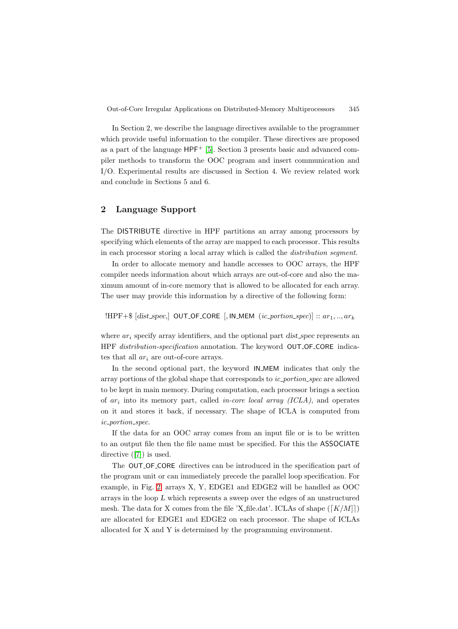In Section 2, we describe the language directives available to the programmer which provide useful information to the compiler. These directives are proposed as a part of the language HPF<sup>+</sup> [\[5\]](#page-7-0). Section 3 presents basic and advanced compiler methods to transform the OOC program and insert communication and I/O. Experimental results are discussed in Section 4. We review related work and conclude in Sections 5 and 6.

## **2 Language Support**

The DISTRIBUTE directive in HPF partitions an array among processors by specifying which elements of the array are mapped to each processor. This results in each processor storing a local array which is called the distribution segment.

In order to allocate memory and handle accesses to OOC arrays, the HPF compiler needs information about which arrays are out-of-core and also the maximum amount of in-core memory that is allowed to be allocated for each array. The user may provide this information by a directive of the following form:

!HPF+\$ [dist\_spec,] OUT\_OF\_CORE [, IN\_MEM  $(ic\_portion\_spec)$ ] ::  $ar_1, ..., ar_k$ 

where  $ar_i$  specify array identifiers, and the optional part dist spec represents an HPF *distribution-specification* annotation. The keyword **OUT\_OF\_CORE** indicates that all  $ar_i$  are out-of-core arrays.

In the second optional part, the keyword IN\_MEM indicates that only the array portions of the global shape that corresponds to *ic\_portion\_spec* are allowed to be kept in main memory. During computation, each processor brings a section of  $ar_i$  into its memory part, called *in-core local array (ICLA)*, and operates on it and stores it back, if necessary. The shape of ICLA is computed from ic portion spec.

If the data for an OOC array comes from an input file or is to be written to an output file then the file name must be specified. For this the ASSOCIATE directive  $([7])$  $([7])$  $([7])$  is used.

The OUT OF CORE directives can be introduced in the specification part of the program unit or can immediately precede the parallel loop specification. For example, in Fig. [2,](#page-3-0) arrays X, Y, EDGE1 and EDGE2 will be handled as OOC arrays in the loop L which represents a sweep over the edges of an unstructured mesh. The data for X comes from the file 'X-file.dat'. ICLAs of shape  $([K/M])$ are allocated for EDGE1 and EDGE2 on each processor. The shape of ICLAs allocated for X and Y is determined by the programming environment.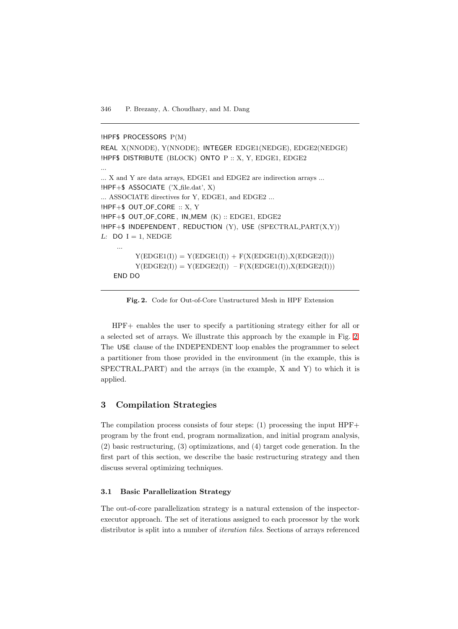```
!HPF$ PROCESSORS P(M)
REAL X(NNODE), Y(NNODE); INTEGER EDGE1(NEDGE), EDGE2(NEDGE)
!HPF$ DISTRIBUTE (BLOCK) ONTO P :: X, Y, EDGE1, EDGE2
...
... X and Y are data arrays, EDGE1 and EDGE2 are indirection arrays ...
!HPF+$ ASSOCIATE ('X file.dat', X)
... ASSOCIATE directives for Y, EDGE1, and EDGE2 ...
IHPF+$ OUT_OF_CORE :: X, Y
!HPF+$ OUT OF CORE , IN MEM (K) :: EDGE1, EDGE2
HPF+$ INDEPENDENT, REDUCTION (Y), USE (SPECTRAL\_PART(X,Y))L: DO I = 1, NEDGE...
         Y(EDGE1(I)) = Y(EDGE1(I)) + F(X(EDGE1(I)), X(EDGE2(I)))Y(EDGE2(I)) = Y(EDGE2(I)) - F(X(EDGE1(I)), X(EDGE2(I)))END DO
```
**Fig. 2.** Code for Out-of-Core Unstructured Mesh in HPF Extension

HPF+ enables the user to specify a partitioning strategy either for all or a selected set of arrays. We illustrate this approach by the example in Fig. 2. The USE clause of the INDEPENDENT loop enables the programmer to select a partitioner from those provided in the environment (in the example, this is SPECTRAL PART) and the arrays (in the example, X and Y) to which it is applied.

# **3 Compilation Strategies**

The compilation process consists of four steps: (1) processing the input HPF+ program by the front end, program normalization, and initial program analysis, (2) basic restructuring, (3) optimizations, and (4) target code generation. In the first part of this section, we describe the basic restructuring strategy and then discuss several optimizing techniques.

#### **3.1 Basic Parallelization Strategy**

The out-of-core parallelization strategy is a natural extension of the inspectorexecutor approach. The set of iterations assigned to each processor by the work distributor is split into a number of iteration tiles. Sections of arrays referenced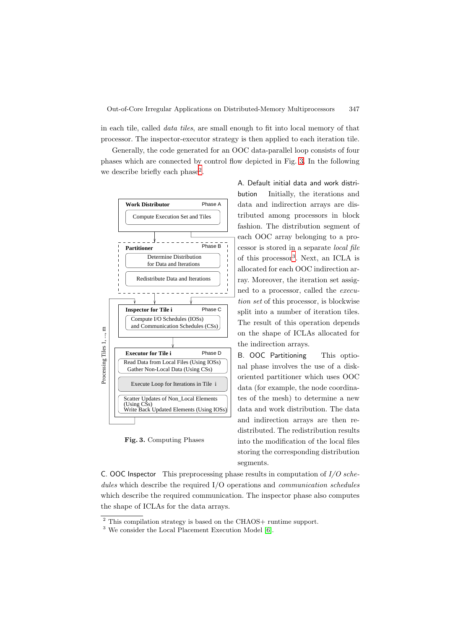in each tile, called data tiles, are small enough to fit into local memory of that processor. The inspector-executor strategy is then applied to each iteration tile.

Generally, the code generated for an OOC data-parallel loop consists of four phases which are connected by control flow depicted in Fig. 3. In the following we describe briefly each phase<sup>2</sup>.



**Fig. 3.** Computing Phases

A. Default initial data and work distribution Initially, the iterations and data and indirection arrays are distributed among processors in block fashion. The distribution segment of each OOC array belonging to a processor is stored in a separate local file of this processor<sup>3</sup>. Next, an ICLA is allocated for each OOC indirection array. Moreover, the iteration set assigned to a processor, called the execution set of this processor, is blockwise split into a number of iteration tiles. The result of this operation depends on the shape of ICLAs allocated for the indirection arrays.

B. OOC Partitioning This optional phase involves the use of a diskoriented partitioner which uses OOC data (for example, the node coordinates of the mesh) to determine a new data and work distribution. The data and indirection arrays are then redistributed. The redistribution results into the modification of the local files storing the corresponding distribution segments.

C. OOC Inspector This preprocessing phase results in computation of  $I/O$  schedules which describe the required I/O operations and *communication schedules* which describe the required communication. The inspector phase also computes the shape of ICLAs for the data arrays.

<sup>&</sup>lt;sup>2</sup> This compilation strategy is based on the CHAOS+ runtime support.

<sup>3</sup> We consider the Local Placement Execution Model [\[6\]](#page-7-0).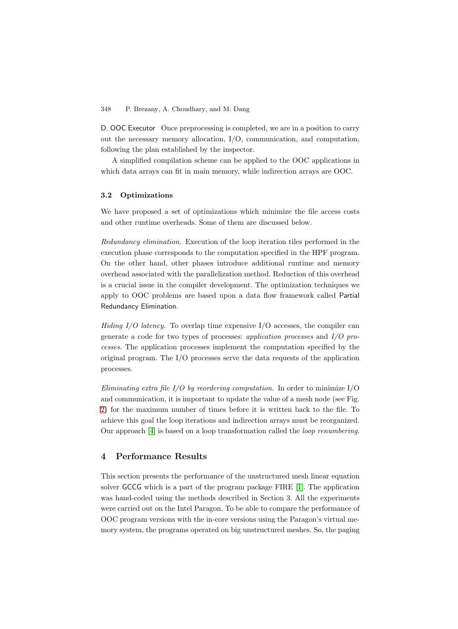D. OOC Executor Once preprocessing is completed, we are in a position to carry out the necessary memory allocation, I/O, communication, and computation, following the plan established by the inspector.

A simplified compilation scheme can be applied to the OOC applications in which data arrays can fit in main memory, while indirection arrays are OOC.

#### **3.2 Optimizations**

We have proposed a set of optimizations which minimize the file access costs and other runtime overheads. Some of them are discussed below.

Redundancy elimination. Execution of the loop iteration tiles performed in the execution phase corresponds to the computation specified in the HPF program. On the other hand, other phases introduce additional runtime and memory overhead associated with the parallelization method. Reduction of this overhead is a crucial issue in the compiler development. The optimization techniques we apply to OOC problems are based upon a data flow framework called Partial Redundancy Elimination.

Hiding  $I/O$  latency. To overlap time expensive  $I/O$  accesses, the compiler can generate a code for two types of processes: application processes and I/O processes. The application processes implement the computation specified by the original program. The I/O processes serve the data requests of the application processes.

Eliminating extra file  $I/O$  by reordering computation. In order to minimize  $I/O$ and communication, it is important to update the value of a mesh node (see Fig. [2\)](#page-3-0) for the maximum number of times before it is written back to the file. To achieve this goal the loop iterations and indirection arrays must be reorganized. Our approach [\[4\]](#page-7-0) is based on a loop transformation called the loop renumbering.

# **4 Performance Results**

This section presents the performance of the unstructured mesh linear equation solver GCCG which is a part of the program package FIRE [\[1\]](#page-7-0). The application was hand-coded using the methods described in Section 3. All the experiments were carried out on the Intel Paragon. To be able to compare the performance of OOC program versions with the in-core versions using the Paragon's virtual memory system, the programs operated on big unstructured meshes. So, the paging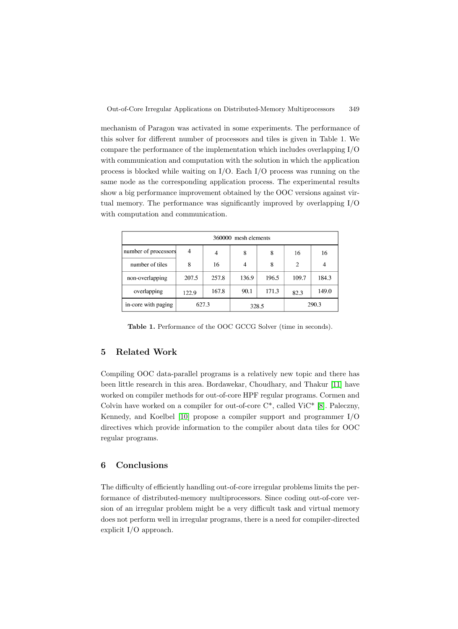mechanism of Paragon was activated in some experiments. The performance of this solver for different number of processors and tiles is given in Table 1. We compare the performance of the implementation which includes overlapping I/O with communication and computation with the solution in which the application process is blocked while waiting on I/O. Each I/O process was running on the same node as the corresponding application process. The experimental results show a big performance improvement obtained by the OOC versions against virtual memory. The performance was significantly improved by overlapping I/O with computation and communication.

| 360000 mesh elements |                |       |       |       |                |       |
|----------------------|----------------|-------|-------|-------|----------------|-------|
| number of processors | $\overline{4}$ | 4     | 8     | 8     | 16             | 16    |
| number of tiles      | 8              | 16    | 4     | 8     | $\overline{2}$ | 4     |
| non-overlapping      | 207.5          | 257.8 | 136.9 | 196.5 | 109.7          | 184.3 |
| overlapping          | 122.9          | 167.8 | 90.1  | 171.3 | 82.3           | 149.0 |
| in-core with paging  | 627.3          |       | 328.5 |       | 290.3          |       |

**Table 1.** Performance of the OOC GCCG Solver (time in seconds).

## **5 Related Work**

Compiling OOC data-parallel programs is a relatively new topic and there has been little research in this area. Bordawekar, Choudhary, and Thakur [\[11\]](#page-7-0) have worked on compiler methods for out-of-core HPF regular programs. Cormen and Colvin have worked on a compiler for out-of-core  $C^*$ , called Vi $C^*$  [\[8\]](#page-7-0). Paleczny, Kennedy, and Koelbel [\[10\]](#page-7-0) propose a compiler support and programmer I/O directives which provide information to the compiler about data tiles for OOC regular programs.

## **6 Conclusions**

The difficulty of efficiently handling out-of-core irregular problems limits the performance of distributed-memory multiprocessors. Since coding out-of-core version of an irregular problem might be a very difficult task and virtual memory does not perform well in irregular programs, there is a need for compiler-directed explicit I/O approach.